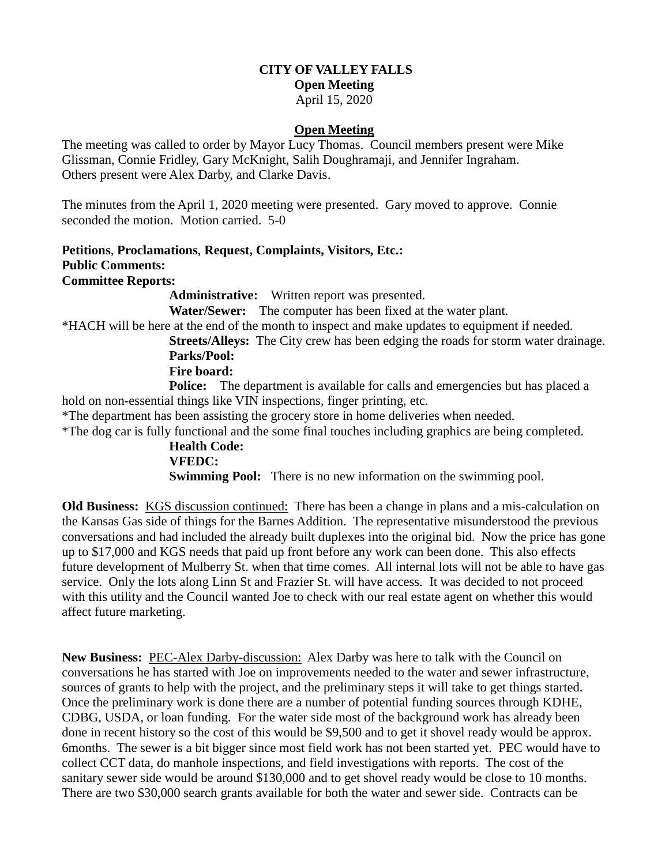# **CITY OF VALLEY FALLS**

**Open Meeting**

April 15, 2020

#### **Open Meeting**

The meeting was called to order by Mayor Lucy Thomas. Council members present were Mike Glissman, Connie Fridley, Gary McKnight, Salih Doughramaji, and Jennifer Ingraham. Others present were Alex Darby, and Clarke Davis.

The minutes from the April 1, 2020 meeting were presented. Gary moved to approve. Connie seconded the motion. Motion carried. 5-0

#### **Petitions**, **Proclamations**, **Request, Complaints, Visitors, Etc.: Public Comments: Committee Reports:**

**Administrative:** Written report was presented.

**Water/Sewer:** The computer has been fixed at the water plant.

\*HACH will be here at the end of the month to inspect and make updates to equipment if needed.

 **Streets/Alleys:** The City crew has been edging the roads for storm water drainage. **Parks/Pool:**

### **Fire board:**

**Police:** The department is available for calls and emergencies but has placed a hold on non-essential things like VIN inspections, finger printing, etc.

\*The department has been assisting the grocery store in home deliveries when needed.

\*The dog car is fully functional and the some final touches including graphics are being completed.

# **Health Code:**

**VFEDC:** 

**Swimming Pool:** There is no new information on the swimming pool.

**Old Business:** KGS discussion continued: There has been a change in plans and a mis-calculation on the Kansas Gas side of things for the Barnes Addition. The representative misunderstood the previous conversations and had included the already built duplexes into the original bid. Now the price has gone up to \$17,000 and KGS needs that paid up front before any work can been done. This also effects future development of Mulberry St. when that time comes. All internal lots will not be able to have gas service. Only the lots along Linn St and Frazier St. will have access. It was decided to not proceed with this utility and the Council wanted Joe to check with our real estate agent on whether this would affect future marketing.

**New Business:** PEC-Alex Darby-discussion: Alex Darby was here to talk with the Council on conversations he has started with Joe on improvements needed to the water and sewer infrastructure, sources of grants to help with the project, and the preliminary steps it will take to get things started. Once the preliminary work is done there are a number of potential funding sources through KDHE, CDBG, USDA, or loan funding. For the water side most of the background work has already been done in recent history so the cost of this would be \$9,500 and to get it shovel ready would be approx. 6months. The sewer is a bit bigger since most field work has not been started yet. PEC would have to collect CCT data, do manhole inspections, and field investigations with reports. The cost of the sanitary sewer side would be around \$130,000 and to get shovel ready would be close to 10 months. There are two \$30,000 search grants available for both the water and sewer side. Contracts can be